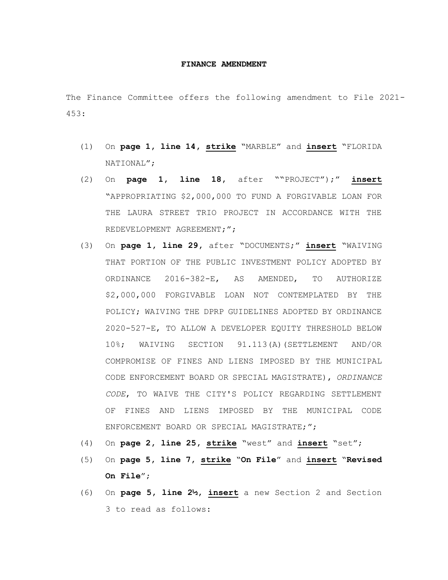## **FINANCE AMENDMENT**

The Finance Committee offers the following amendment to File 2021- 453:

- (1) On **page 1, line 14, strike** "MARBLE" and **insert** "FLORIDA NATIONAL";
- (2) On **page 1, line 18,** after ""PROJECT");" **insert** "APPROPRIATING \$2,000,000 TO FUND A FORGIVABLE LOAN FOR THE LAURA STREET TRIO PROJECT IN ACCORDANCE WITH THE REDEVELOPMENT AGREEMENT;";
- (3) On **page 1, line 29,** after "DOCUMENTS;" **insert** "WAIVING THAT PORTION OF THE PUBLIC INVESTMENT POLICY ADOPTED BY ORDINANCE 2016-382-E, AS AMENDED, TO AUTHORIZE \$2,000,000 FORGIVABLE LOAN NOT CONTEMPLATED BY THE POLICY; WAIVING THE DPRP GUIDELINES ADOPTED BY ORDINANCE 2020-527-E, TO ALLOW A DEVELOPER EQUITY THRESHOLD BELOW 10%; WAIVING SECTION 91.113(A)(SETTLEMENT AND/OR COMPROMISE OF FINES AND LIENS IMPOSED BY THE MUNICIPAL CODE ENFORCEMENT BOARD OR SPECIAL MAGISTRATE), *ORDINANCE CODE*, TO WAIVE THE CITY'S POLICY REGARDING SETTLEMENT OF FINES AND LIENS IMPOSED BY THE MUNICIPAL CODE ENFORCEMENT BOARD OR SPECIAL MAGISTRATE;";
- (4) On **page 2, line 25, strike** "west" and **insert** "set";
- (5) On **page 5, line 7, strike** "**On File**" and **insert** "**Revised On File**";
- (6) On **page 5, line 2½, insert** a new Section 2 and Section 3 to read as follows: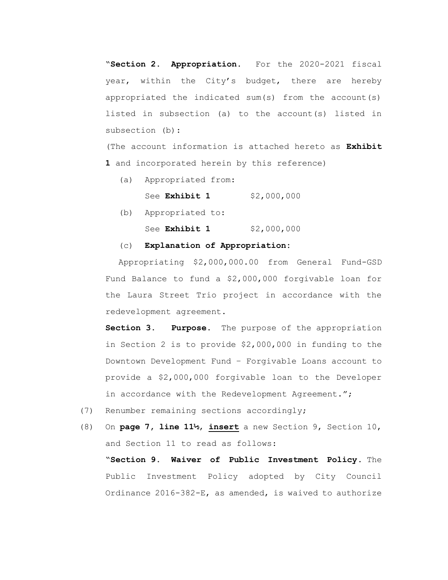"**Section 2. Appropriation.** For the 2020-2021 fiscal year, within the City's budget, there are hereby appropriated the indicated sum(s) from the account(s) listed in subsection (a) to the account(s) listed in subsection (b):

(The account information is attached hereto as **Exhibit 1** and incorporated herein by this reference)

- (a) Appropriated from:
	- See **Exhibit 1** \$2,000,000
- (b) Appropriated to:

See **Exhibit 1** \$2,000,000

## (c) **Explanation of Appropriation:**

Appropriating \$2,000,000.00 from General Fund-GSD Fund Balance to fund a \$2,000,000 forgivable loan for the Laura Street Trio project in accordance with the redevelopment agreement.

**Section 3. Purpose.** The purpose of the appropriation in Section 2 is to provide \$2,000,000 in funding to the Downtown Development Fund – Forgivable Loans account to provide a \$2,000,000 forgivable loan to the Developer in accordance with the Redevelopment Agreement.";

(7) Renumber remaining sections accordingly;

<sup>(8)</sup> On **page 7, line 11½**, **insert** a new Section 9, Section 10, and Section 11 to read as follows: "**Section 9. Waiver of Public Investment Policy.** The Public Investment Policy adopted by City Council Ordinance 2016-382-E, as amended, is waived to authorize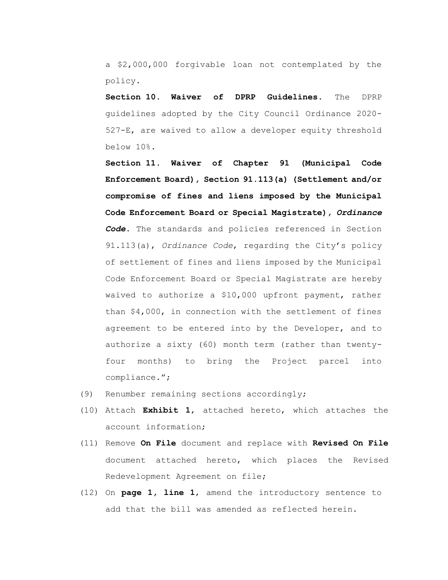a \$2,000,000 forgivable loan not contemplated by the policy.

**Section 10. Waiver of DPRP Guidelines.** The DPRP guidelines adopted by the City Council Ordinance 2020- 527-E, are waived to allow a developer equity threshold below 10%.

**Section 11. Waiver of Chapter 91 (Municipal Code Enforcement Board), Section 91.113(a) (Settlement and/or compromise of fines and liens imposed by the Municipal Code Enforcement Board or Special Magistrate),** *Ordinance Code***.** The standards and policies referenced in Section 91.113(a), *Ordinance Code*, regarding the City's policy of settlement of fines and liens imposed by the Municipal Code Enforcement Board or Special Magistrate are hereby waived to authorize a \$10,000 upfront payment, rather than \$4,000, in connection with the settlement of fines agreement to be entered into by the Developer, and to authorize a sixty (60) month term (rather than twentyfour months) to bring the Project parcel into compliance.";

- (9) Renumber remaining sections accordingly;
- (10) Attach **Exhibit 1**, attached hereto, which attaches the account information;
- (11) Remove **On File** document and replace with **Revised On File**  document attached hereto, which places the Revised Redevelopment Agreement on file;
- (12) On **page 1, line 1**, amend the introductory sentence to add that the bill was amended as reflected herein.